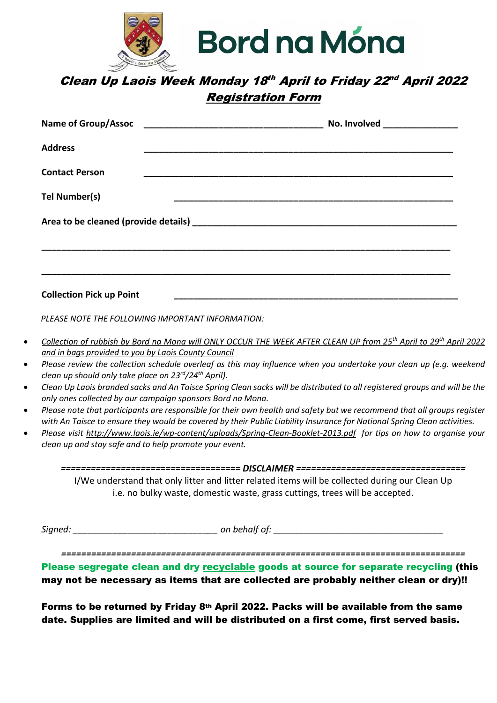

## Clean Up Laois Week Monday 18th April to Friday 22nd April 2022 Registration Form

| <b>Address</b>                  |  |  |
|---------------------------------|--|--|
| <b>Contact Person</b>           |  |  |
| Tel Number(s)                   |  |  |
|                                 |  |  |
|                                 |  |  |
|                                 |  |  |
| <b>Collection Pick up Point</b> |  |  |

PLEASE NOTE THE FOLLOWING IMPORTANT INFORMATION:

- Collection of rubbish by Bord na Mona will ONLY OCCUR THE WEEK AFTER CLEAN UP from 25<sup>th</sup> April to 29<sup>th</sup> April 2022 and in bags provided to you by Laois County Council
- Please review the collection schedule overleaf as this may influence when you undertake your clean up (e.g. weekend clean up should only take place on  $23^{rd}/24^{th}$  April).
- Clean Up Laois branded sacks and An Taisce Spring Clean sacks will be distributed to all registered groups and will be the only ones collected by our campaign sponsors Bord na Mona.
- Please note that participants are responsible for their own health and safety but we recommend that all groups register with An Taisce to ensure they would be covered by their Public Liability Insurance for National Spring Clean activities.
- Please visit http://www.laois.ie/wp-content/uploads/Spring-Clean-Booklet-2013.pdf for tips on how to organise your clean up and stay safe and to help promote your event.

==================================== DISCLAIMER ================================== I/We understand that only litter and litter related items will be collected during our Clean Up i.e. no bulky waste, domestic waste, grass cuttings, trees will be accepted.

Signed: example and the set of the behalf of:  $\Box$  on behalf of:  $\Box$ 

=================================================================================

Please segregate clean and dry recyclable goods at source for separate recycling (this may not be necessary as items that are collected are probably neither clean or dry)!!

Forms to be returned by Friday 8th April 2022. Packs will be available from the same date. Supplies are limited and will be distributed on a first come, first served basis.